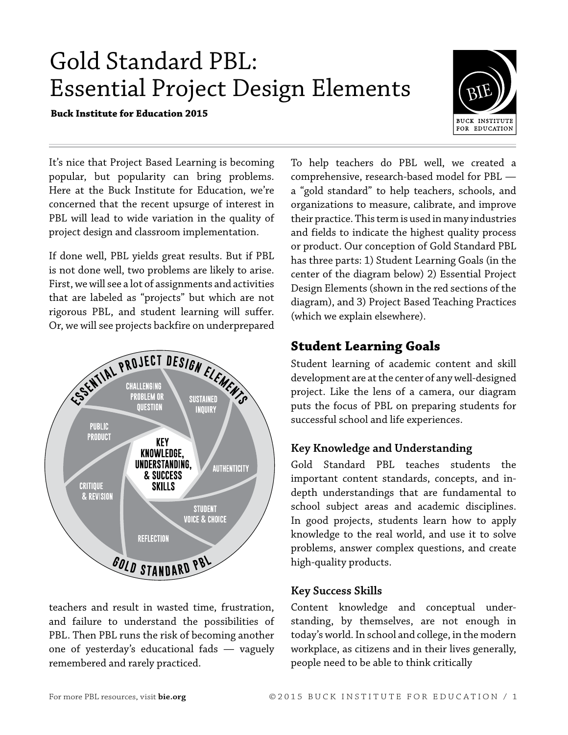# Gold Standard PBL: Essential Project Design Elements

**Buck Institute for Education 2015**



It's nice that Project Based Learning is becoming popular, but popularity can bring problems. Here at the Buck Institute for Education, we're concerned that the recent upsurge of interest in PBL will lead to wide variation in the quality of project design and classroom implementation.

If done well, PBL yields great results. But if PBL is not done well, two problems are likely to arise. First, we will see a lot of assignments and activities that are labeled as "projects" but which are not rigorous PBL, and student learning will suffer. Or, we will see projects backfire on underprepared



teachers and result in wasted time, frustration, and failure to understand the possibilities of PBL. Then PBL runs the risk of becoming another one of yesterday's educational fads — vaguely remembered and rarely practiced.

To help teachers do PBL well, we created a comprehensive, research-based model for PBL a "gold standard" to help teachers, schools, and organizations to measure, calibrate, and improve their practice. This term is used in many industries and fields to indicate the highest quality process or product. Our conception of Gold Standard PBL has three parts: 1) Student Learning Goals (in the center of the diagram below) 2) Essential Project Design Elements (shown in the red sections of the diagram), and 3) Project Based Teaching Practices (which we explain elsewhere).

## **Student Learning Goals**

Student learning of academic content and skill development are at the center of any well-designed project. Like the lens of a camera, our diagram puts the focus of PBL on preparing students for successful school and life experiences.

## **Key Knowledge and Understanding**

Gold Standard PBL teaches students the important content standards, concepts, and indepth understandings that are fundamental to school subject areas and academic disciplines. In good projects, students learn how to apply knowledge to the real world, and use it to solve problems, answer complex questions, and create high-quality products.

## **Key Success Skills**

Content knowledge and conceptual understanding, by themselves, are not enough in today's world. In school and college, in the modern workplace, as citizens and in their lives generally, people need to be able to think critically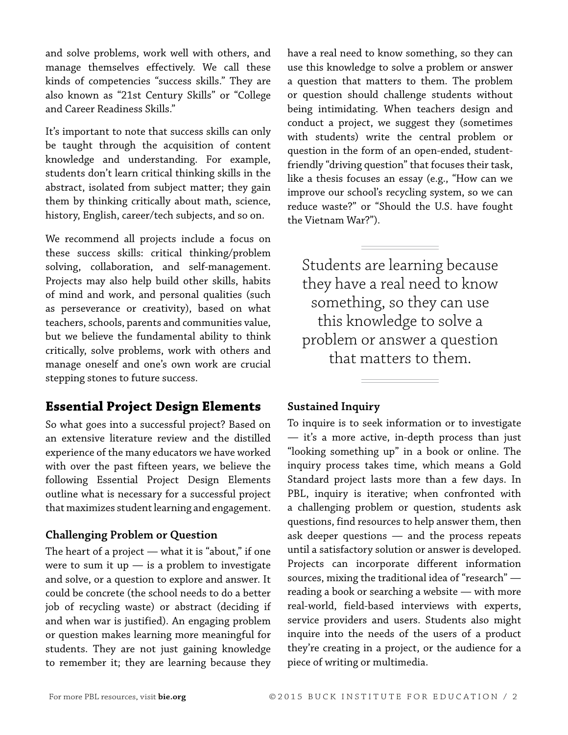and solve problems, work well with others, and manage themselves effectively. We call these kinds of competencies "success skills." They are also known as "21st Century Skills" or "College and Career Readiness Skills."

It's important to note that success skills can only be taught through the acquisition of content knowledge and understanding. For example, students don't learn critical thinking skills in the abstract, isolated from subject matter; they gain them by thinking critically about math, science, history, English, career/tech subjects, and so on.

We recommend all projects include a focus on these success skills: critical thinking/problem solving, collaboration, and self-management. Projects may also help build other skills, habits of mind and work, and personal qualities (such as perseverance or creativity), based on what teachers, schools, parents and communities value, but we believe the fundamental ability to think critically, solve problems, work with others and manage oneself and one's own work are crucial stepping stones to future success.

## **Essential Project Design Elements**

So what goes into a successful project? Based on an extensive literature review and the distilled experience of the many educators we have worked with over the past fifteen years, we believe the following Essential Project Design Elements outline what is necessary for a successful project that maximizes student learning and engagement.

#### **Challenging Problem or Question**

The heart of a project  $-$  what it is "about," if one were to sum it up  $-$  is a problem to investigate and solve, or a question to explore and answer. It could be concrete (the school needs to do a better job of recycling waste) or abstract (deciding if and when war is justified). An engaging problem or question makes learning more meaningful for students. They are not just gaining knowledge to remember it; they are learning because they

have a real need to know something, so they can use this knowledge to solve a problem or answer a question that matters to them. The problem or question should challenge students without being intimidating. When teachers design and conduct a project, we suggest they (sometimes with students) write the central problem or question in the form of an open-ended, studentfriendly "driving question" that focuses their task, like a thesis focuses an essay (e.g., "How can we improve our school's recycling system, so we can reduce waste?" or "Should the U.S. have fought the Vietnam War?").

Students are learning because they have a real need to know something, so they can use this knowledge to solve a problem or answer a question that matters to them.

#### **Sustained Inquiry**

To inquire is to seek information or to investigate — it's a more active, in-depth process than just "looking something up" in a book or online. The inquiry process takes time, which means a Gold Standard project lasts more than a few days. In PBL, inquiry is iterative; when confronted with a challenging problem or question, students ask questions, find resources to help answer them, then ask deeper questions — and the process repeats until a satisfactory solution or answer is developed. Projects can incorporate different information sources, mixing the traditional idea of "research" reading a book or searching a website — with more real-world, field-based interviews with experts, service providers and users. Students also might inquire into the needs of the users of a product they're creating in a project, or the audience for a piece of writing or multimedia.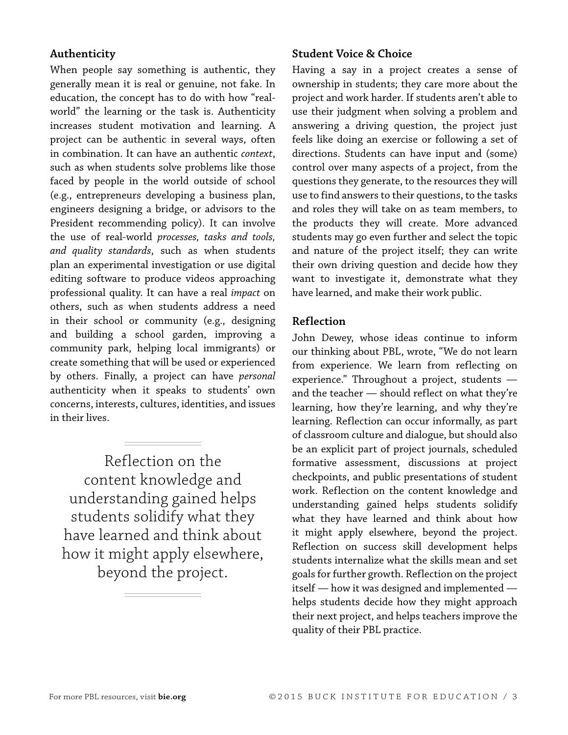### **Authenticity**

When people say something is authentic, they generally mean it is real or genuine, not fake. In education, the concept has to do with how "realworld" the learning or the task is. Authenticity increases student motivation and learning. A project can be authentic in several ways, often in combination. It can have an authentic *context*, such as when students solve problems like those faced by people in the world outside of school (e.g., entrepreneurs developing a business plan, engineers designing a bridge, or advisors to the President recommending policy). It can involve the use of real-world *processes, tasks and tools, and quality standards*, such as when students plan an experimental investigation or use digital editing software to produce videos approaching professional quality. It can have a real *impact* on others, such as when students address a need in their school or community (e.g., designing and building a school garden, improving a community park, helping local immigrants) or create something that will be used or experienced by others. Finally, a project can have *personal*  authenticity when it speaks to students' own concerns, interests, cultures, identities, and issues in their lives.

Reflection on the content knowledge and understanding gained helps students solidify what they have learned and think about how it might apply elsewhere, beyond the project.

#### **Student Voice & Choice**

Having a say in a project creates a sense of ownership in students; they care more about the project and work harder. If students aren't able to use their judgment when solving a problem and answering a driving question, the project just feels like doing an exercise or following a set of directions. Students can have input and (some) control over many aspects of a project, from the questions they generate, to the resources they will use to find answers to their questions, to the tasks and roles they will take on as team members, to the products they will create. More advanced students may go even further and select the topic and nature of the project itself; they can write their own driving question and decide how they want to investigate it, demonstrate what they have learned, and make their work public.

#### **Reflection**

John Dewey, whose ideas continue to inform our thinking about PBL, wrote, "We do not learn from experience. We learn from reflecting on experience." Throughout a project, students and the teacher — should reflect on what they're learning, how they're learning, and why they're learning. Reflection can occur informally, as part of classroom culture and dialogue, but should also be an explicit part of project journals, scheduled formative assessment, discussions at project checkpoints, and public presentations of student work. Reflection on the content knowledge and understanding gained helps students solidify what they have learned and think about how it might apply elsewhere, beyond the project. Reflection on success skill development helps students internalize what the skills mean and set goals for further growth. Reflection on the project itself — how it was designed and implemented helps students decide how they might approach their next project, and helps teachers improve the quality of their PBL practice.